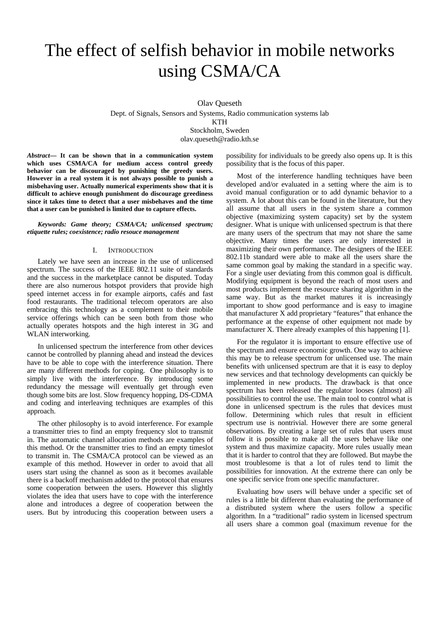# The effect of selfish behavior in mobile networks using CSMA/CA

Olav Queseth

Dept. of Signals, Sensors and Systems, Radio communication systems lab **KTH** Stockholm, Sweden olav.queseth@radio.kth.se

*Abstract***— It can be shown that in a communication system which uses CSMA/CA for medium access control greedy behavior can be discouraged by punishing the greedy users. However in a real system it is not always possible to punish a misbehaving user. Actually numerical experiments show that it is difficult to achieve enough punishment do discourage greediness since it takes time to detect that a user misbehaves and the time that a user can be punished is limited due to capture effects.** 

*Keywords: Game theory; CSMA/CA; unlicensed spectrum; etiquette rules; coexistence; radio resouce management* 

### I. INTRODUCTION

Lately we have seen an increase in the use of unlicensed spectrum. The success of the IEEE 802.11 suite of standards and the success in the marketplace cannot be disputed. Today there are also numerous hotspot providers that provide high speed internet access in for example airports, cafés and fast food restaurants. The traditional telecom operators are also embracing this technology as a complement to their mobile service offerings which can be seen both from those who actually operates hotspots and the high interest in 3G and WLAN interworking.

In unlicensed spectrum the interference from other devices cannot be controlled by planning ahead and instead the devices have to be able to cope with the interference situation. There are many different methods for coping. One philosophy is to simply live with the interference. By introducing some redundancy the message will eventually get through even though some bits are lost. Slow frequency hopping, DS-CDMA and coding and interleaving techniques are examples of this approach.

The other philosophy is to avoid interference. For example a transmitter tries to find an empty frequency slot to transmit in. The automatic channel allocation methods are examples of this method. Or the transmitter tries to find an empty timeslot to transmit in. The CSMA/CA protocol can be viewed as an example of this method. However in order to avoid that all users start using the channel as soon as it becomes available there is a backoff mechanism added to the protocol that ensures some cooperation between the users. However this slightly violates the idea that users have to cope with the interference alone and introduces a degree of cooperation between the users. But by introducing this cooperation between users a possibility for individuals to be greedy also opens up. It is this possibility that is the focus of this paper.

Most of the interference handling techniques have been developed and/or evaluated in a setting where the aim is to avoid manual configuration or to add dynamic behavior to a system. A lot about this can be found in the literature, but they all assume that all users in the system share a common objective (maximizing system capacity) set by the system designer. What is unique with unlicensed spectrum is that there are many users of the spectrum that may not share the same objective. Many times the users are only interested in maximizing their own performance. The designers of the IEEE 802.11b standard were able to make all the users share the same common goal by making the standard in a specific way. For a single user deviating from this common goal is difficult. Modifying equipment is beyond the reach of most users and most products implement the resource sharing algorithm in the same way. But as the market matures it is increasingly important to show good performance and is easy to imagine that manufacturer X add proprietary "features" that enhance the performance at the expense of other equipment not made by manufacturer X. There already examples of this happening [1].

For the regulator it is important to ensure effective use of the spectrum and ensure economic growth. One way to achieve this may be to release spectrum for unlicensed use. The main benefits with unlicensed spectrum are that it is easy to deploy new services and that technology developments can quickly be implemented in new products. The drawback is that once spectrum has been released the regulator looses (almost) all possibilities to control the use. The main tool to control what is done in unlicensed spectrum is the rules that devices must follow. Determining which rules that result in efficient spectrum use is nontrivial. However there are some general observations. By creating a large set of rules that users must follow it is possible to make all the users behave like one system and thus maximize capacity. More rules usually mean that it is harder to control that they are followed. But maybe the most troublesome is that a lot of rules tend to limit the possibilities for innovation. At the extreme there can only be one specific service from one specific manufacturer.

Evaluating how users will behave under a specific set of rules is a little bit different than evaluating the performance of a distributed system where the users follow a specific algorithm. In a "traditional" radio system in licensed spectrum all users share a common goal (maximum revenue for the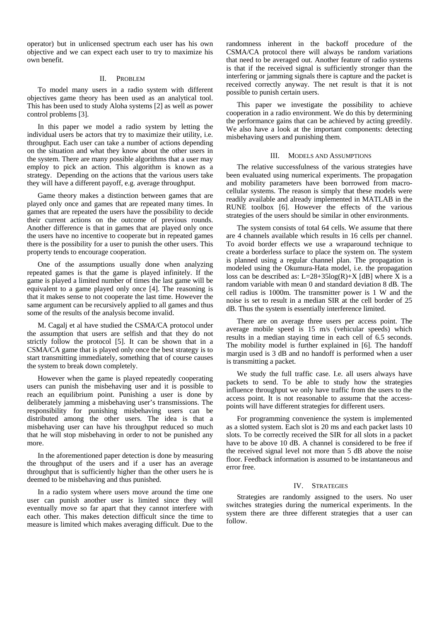operator) but in unlicensed spectrum each user has his own objective and we can expect each user to try to maximize his own benefit.

## II. PROBLEM

To model many users in a radio system with different objectives game theory has been used as an analytical tool. This has been used to study Aloha systems [2] as well as power control problems [3].

In this paper we model a radio system by letting the individual users be actors that try to maximize their utility, i.e. throughput. Each user can take a number of actions depending on the situation and what they know about the other users in the system. There are many possible algorithms that a user may employ to pick an action. This algorithm is known as a strategy. Depending on the actions that the various users take they will have a different payoff, e.g. average throughput.

Game theory makes a distinction between games that are played only once and games that are repeated many times. In games that are repeated the users have the possibility to decide their current actions on the outcome of previous rounds. Another difference is that in games that are played only once the users have no incentive to cooperate but in repeated games there is the possibility for a user to punish the other users. This property tends to encourage cooperation.

One of the assumptions usually done when analyzing repeated games is that the game is played infinitely. If the game is played a limited number of times the last game will be equivalent to a game played only once [4]. The reasoning is that it makes sense to not cooperate the last time. However the same argument can be recursively applied to all games and thus some of the results of the analysis become invalid.

M. Cagalj et al have studied the CSMA/CA protocol under the assumption that users are selfish and that they do not strictly follow the protocol [5]. It can be shown that in a CSMA/CA game that is played only once the best strategy is to start transmitting immediately, something that of course causes the system to break down completely.

However when the game is played repeatedly cooperating users can punish the misbehaving user and it is possible to reach an equilibrium point. Punishing a user is done by deliberately jamming a misbehaving user's transmissions. The responsibility for punishing misbehaving users can be distributed among the other users. The idea is that a misbehaving user can have his throughput reduced so much that he will stop misbehaving in order to not be punished any more.

In the aforementioned paper detection is done by measuring the throughput of the users and if a user has an average throughput that is sufficiently higher than the other users he is deemed to be misbehaving and thus punished.

In a radio system where users move around the time one user can punish another user is limited since they will eventually move so far apart that they cannot interfere with each other. This makes detection difficult since the time to measure is limited which makes averaging difficult. Due to the randomness inherent in the backoff procedure of the CSMA/CA protocol there will always be random variations that need to be averaged out. Another feature of radio systems is that if the received signal is sufficiently stronger than the interfering or jamming signals there is capture and the packet is received correctly anyway. The net result is that it is not possible to punish certain users.

This paper we investigate the possibility to achieve cooperation in a radio environment. We do this by determining the performance gains that can be achieved by acting greedily. We also have a look at the important components: detecting misbehaving users and punishing them.

## III. MODELS AND ASSUMPTIONS

The relative successfulness of the various strategies have been evaluated using numerical experiments. The propagation and mobility parameters have been borrowed from macrocellular systems. The reason is simply that these models were readily available and already implemented in MATLAB in the RUNE toolbox [6]. However the effects of the various strategies of the users should be similar in other environments.

The system consists of total 64 cells. We assume that there are 4 channels available which results in 16 cells per channel. To avoid border effects we use a wraparound technique to create a borderless surface to place the system on. The system is planned using a regular channel plan. The propagation is modeled using the Okumura-Hata model, i.e. the propagation loss can be described as:  $L=28+35\log(R)+X$  [dB] where X is a random variable with mean 0 and standard deviation 8 dB. The cell radius is 1000m. The transmitter power is 1 W and the noise is set to result in a median SIR at the cell border of 25 dB. Thus the system is essentially interference limited.

There are on average three users per access point. The average mobile speed is 15 m/s (vehicular speeds) which results in a median staying time in each cell of 6.5 seconds. The mobility model is further explained in [6]. The handoff margin used is 3 dB and no handoff is performed when a user is transmitting a packet.

We study the full traffic case. I.e. all users always have packets to send. To be able to study how the strategies influence throughput we only have traffic from the users to the access point. It is not reasonable to assume that the accesspoints will have different strategies for different users.

For programming convenience the system is implemented as a slotted system. Each slot is 20 ms and each packet lasts 10 slots. To be correctly received the SIR for all slots in a packet have to be above 10 dB. A channel is considered to be free if the received signal level not more than 5 dB above the noise floor. Feedback information is assumed to be instantaneous and error free.

### IV. STRATEGIES

Strategies are randomly assigned to the users. No user switches strategies during the numerical experiments. In the system there are three different strategies that a user can follow.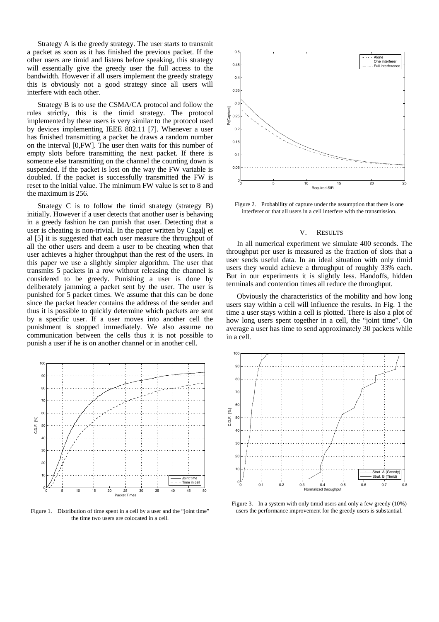Strategy A is the greedy strategy. The user starts to transmit a packet as soon as it has finished the previous packet. If the other users are timid and listens before speaking, this strategy will essentially give the greedy user the full access to the bandwidth. However if all users implement the greedy strategy this is obviously not a good strategy since all users will interfere with each other.

Strategy B is to use the CSMA/CA protocol and follow the rules strictly, this is the timid strategy. The protocol implemented by these users is very similar to the protocol used by devices implementing IEEE 802.11 [7]. Whenever a user has finished transmitting a packet he draws a random number on the interval [0,FW]. The user then waits for this number of empty slots before transmitting the next packet. If there is someone else transmitting on the channel the counting down is suspended. If the packet is lost on the way the FW variable is doubled. If the packet is successfully transmitted the FW is reset to the initial value. The minimum FW value is set to 8 and the maximum is 256.

Strategy C is to follow the timid strategy (strategy B) initially. However if a user detects that another user is behaving in a greedy fashion he can punish that user. Detecting that a user is cheating is non-trivial. In the paper written by Cagalj et al [5] it is suggested that each user measure the throughput of all the other users and deem a user to be cheating when that user achieves a higher throughput than the rest of the users. In this paper we use a slightly simpler algorithm. The user that transmits 5 packets in a row without releasing the channel is considered to be greedy. Punishing a user is done by deliberately jamming a packet sent by the user. The user is punished for 5 packet times. We assume that this can be done since the packet header contains the address of the sender and thus it is possible to quickly determine which packets are sent by a specific user. If a user moves into another cell the punishment is stopped immediately. We also assume no communication between the cells thus it is not possible to punish a user if he is on another channel or in another cell.



Figure 1. Distribution of time spent in a cell by a user and the "joint time" the time two users are colocated in a cell.



Figure 2. Probability of capture under the assumption that there is one interferer or that all users in a cell interfere with the transmission.

#### V. RESULTS

In all numerical experiment we simulate 400 seconds. The throughput per user is measured as the fraction of slots that a user sends useful data. In an ideal situation with only timid users they would achieve a throughput of roughly 33% each. But in our experiments it is slightly less. Handoffs, hidden terminals and contention times all reduce the throughput.

Obviously the characteristics of the mobility and how long users stay within a cell will influence the results. In Fig. 1 the time a user stays within a cell is plotted. There is also a plot of how long users spent together in a cell, the "joint time". On average a user has time to send approximately 30 packets while in a cell.



Figure 3. In a system with only timid users and only a few greedy (10%) users the performance improvement for the greedy users is substantial.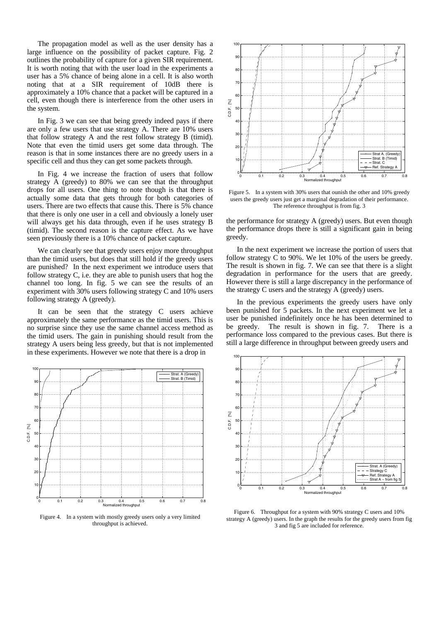The propagation model as well as the user density has a large influence on the possibility of packet capture. Fig. 2 outlines the probability of capture for a given SIR requirement. It is worth noting that with the user load in the experiments a user has a 5% chance of being alone in a cell. It is also worth noting that at a SIR requirement of 10dB there is approximately a 10% chance that a packet will be captured in a cell, even though there is interference from the other users in the system.

In Fig. 3 we can see that being greedy indeed pays if there are only a few users that use strategy A. There are 10% users that follow strategy A and the rest follow strategy B (timid). Note that even the timid users get some data through. The reason is that in some instances there are no greedy users in a specific cell and thus they can get some packets through.

In Fig. 4 we increase the fraction of users that follow strategy A (greedy) to 80% we can see that the throughput drops for all users. One thing to note though is that there is actually some data that gets through for both categories of users. There are two effects that cause this. There is 5% chance that there is only one user in a cell and obviously a lonely user will always get his data through, even if he uses strategy B (timid). The second reason is the capture effect. As we have seen previously there is a 10% chance of packet capture.

We can clearly see that greedy users enjoy more throughput than the timid users, but does that still hold if the greedy users are punished? In the next experiment we introduce users that follow strategy C, i.e. they are able to punish users that hog the channel too long. In fig. 5 we can see the results of an experiment with 30% users following strategy C and 10% users following strategy A (greedy).

It can be seen that the strategy C users achieve approximately the same performance as the timid users. This is no surprise since they use the same channel access method as the timid users. The gain in punishing should result from the strategy A users being less greedy, but that is not implemented in these experiments. However we note that there is a drop in



Figure 4. In a system with mostly greedy users only a very limited throughput is achieved.



Figure 5. In a system with 30% users that ounish the other and 10% greedy users the greedy users just get a marginal degradation of their performance. The reference throughput is from fig. 3

the performance for strategy A (greedy) users. But even though the performance drops there is still a significant gain in being greedy.

In the next experiment we increase the portion of users that follow strategy  $\overline{C}$  to 90%. We let 10% of the users be greedy. The result is shown in fig. 7. We can see that there is a slight degradation in performance for the users that are greedy. However there is still a large discrepancy in the performance of the strategy C users and the strategy A (greedy) users.

In the previous experiments the greedy users have only been punished for 5 packets. In the next experiment we let a user be punished indefinitely once he has been determined to be greedy. The result is shown in fig. 7. There is a performance loss compared to the previous cases. But there is still a large difference in throughput between greedy users and



Figure 6. Throughput for a system with 90% strategy C users and 10% strategy A (greedy) users. In the graph the results for the greedy users from fig 3 and fig 5 are included for reference.